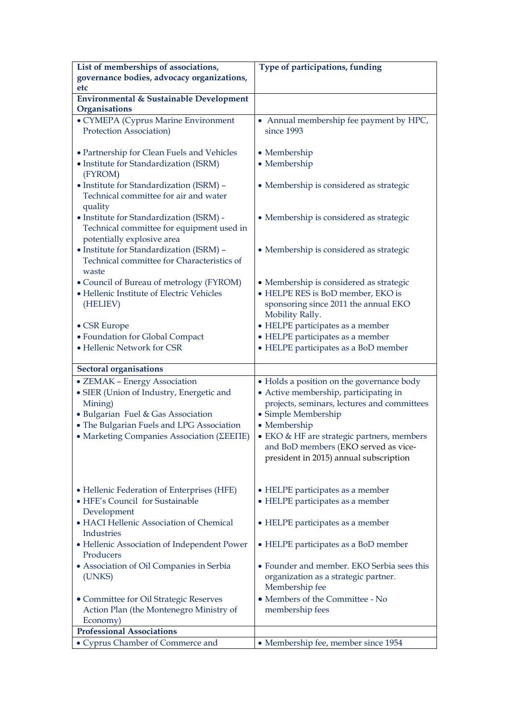| List of memberships of associations,               | Type of participations, funding             |
|----------------------------------------------------|---------------------------------------------|
| governance bodies, advocacy organizations,         |                                             |
| etc                                                |                                             |
| <b>Environmental &amp; Sustainable Development</b> |                                             |
| Organisations                                      |                                             |
| • CYMEPA (Cyprus Marine Environment                | • Annual membership fee payment by HPC,     |
| Protection Association)                            | since 1993                                  |
|                                                    |                                             |
| • Partnership for Clean Fuels and Vehicles         | • Membership                                |
| • Institute for Standardization (ISRM)<br>(FYROM)  | • Membership                                |
| · Institute for Standardization (ISRM) -           | • Membership is considered as strategic     |
| Technical committee for air and water<br>quality   |                                             |
| • Institute for Standardization (ISRM) -           | • Membership is considered as strategic     |
| Technical committee for equipment used in          |                                             |
| potentially explosive area                         |                                             |
| · Institute for Standardization (ISRM) -           | • Membership is considered as strategic     |
| Technical committee for Characteristics of         |                                             |
| waste                                              |                                             |
| • Council of Bureau of metrology (FYROM)           | • Membership is considered as strategic     |
| · Hellenic Institute of Electric Vehicles          | • HELPE RES is BoD member, EKO is           |
| (HELIEV)                                           | sponsoring since 2011 the annual EKO        |
|                                                    | Mobility Rally.                             |
| • CSR Europe                                       | · HELPE participates as a member            |
| · Foundation for Global Compact                    | • HELPE participates as a member            |
| • Hellenic Network for CSR                         | • HELPE participates as a BoD member        |
| <b>Sectoral organisations</b>                      |                                             |
| • ZEMAK - Energy Association                       | • Holds a position on the governance body   |
| • SIER (Union of Industry, Energetic and           | · Active membership, participating in       |
| Mining)                                            | projects, seminars, lectures and committees |
| · Bulgarian Fuel & Gas Association                 | · Simple Membership                         |
| • The Bulgarian Fuels and LPG Association          | • Membership                                |
| • Marketing Companies Association (ΣΕΕΠΕ)          | • EKO & HF are strategic partners, members  |
|                                                    | and BoD members (EKO served as vice-        |
|                                                    | president in 2015) annual subscription      |
|                                                    |                                             |
| • Hellenic Federation of Enterprises (HFE)         | • HELPE participates as a member            |
| · HFE's Council for Sustainable                    | • HELPE participates as a member            |
| Development                                        |                                             |
| · HACI Hellenic Association of Chemical            | • HELPE participates as a member            |
| <b>Industries</b>                                  |                                             |
| • Hellenic Association of Independent Power        | • HELPE participates as a BoD member        |
| Producers                                          |                                             |
| • Association of Oil Companies in Serbia           | • Founder and member. EKO Serbia sees this  |
| (UNKS)                                             | organization as a strategic partner.        |
|                                                    | Membership fee                              |
| • Committee for Oil Strategic Reserves             | • Members of the Committee - No             |
| Action Plan (the Montenegro Ministry of            | membership fees                             |
| Economy)                                           |                                             |
| <b>Professional Associations</b>                   |                                             |
| • Cyprus Chamber of Commerce and                   | • Membership fee, member since 1954         |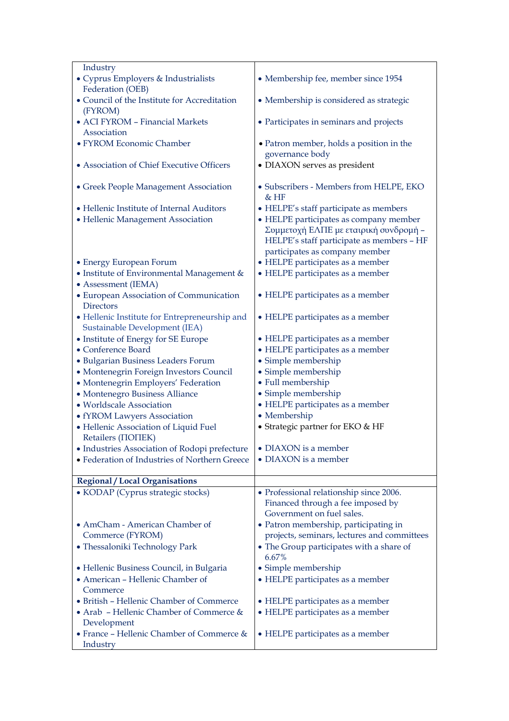| Industry                                                                       |                                                                                                                              |
|--------------------------------------------------------------------------------|------------------------------------------------------------------------------------------------------------------------------|
| · Cyprus Employers & Industrialists<br>Federation (OEB)                        | • Membership fee, member since 1954                                                                                          |
| • Council of the Institute for Accreditation<br>(FYROM)                        | • Membership is considered as strategic                                                                                      |
| • ACI FYROM - Financial Markets<br>Association                                 | • Participates in seminars and projects                                                                                      |
| • FYROM Economic Chamber                                                       | • Patron member, holds a position in the<br>governance body                                                                  |
| • Association of Chief Executive Officers                                      | · DIAXON serves as president                                                                                                 |
| • Greek People Management Association                                          | · Subscribers - Members from HELPE, EKO<br>$&$ HF                                                                            |
| • Hellenic Institute of Internal Auditors                                      | • HELPE's staff participate as members                                                                                       |
| · Hellenic Management Association                                              | • HELPE participates as company member<br>Συμμετοχή ΕΛΠΕ με εταιρική συνδρομή -<br>HELPE's staff participate as members - HF |
|                                                                                | participates as company member                                                                                               |
| • Energy European Forum                                                        | • HELPE participates as a member                                                                                             |
| • Institute of Environmental Management &                                      | • HELPE participates as a member                                                                                             |
| • Assessment (IEMA)                                                            |                                                                                                                              |
| • European Association of Communication<br><b>Directors</b>                    | • HELPE participates as a member                                                                                             |
| • Hellenic Institute for Entrepreneurship and<br>Sustainable Development (IEA) | • HELPE participates as a member                                                                                             |
| • Institute of Energy for SE Europe                                            | • HELPE participates as a member                                                                                             |
| • Conference Board                                                             | • HELPE participates as a member                                                                                             |
| · Bulgarian Business Leaders Forum                                             | · Simple membership                                                                                                          |
| • Montenegrin Foreign Investors Council                                        | · Simple membership                                                                                                          |
| · Montenegrin Employers' Federation                                            | · Full membership                                                                                                            |
| • Montenegro Business Alliance                                                 | · Simple membership                                                                                                          |
| · Worldscale Association                                                       | • HELPE participates as a member                                                                                             |
| • fYROM Lawyers Association                                                    | • Membership                                                                                                                 |
| · Hellenic Association of Liquid Fuel<br>Retailers ( <b>NOTIEK</b> )           | • Strategic partner for EKO & HF                                                                                             |
| • Industries Association of Rodopi prefecture                                  | • DIAXON is a member                                                                                                         |
| • Federation of Industries of Northern Greece                                  | • DIAXON is a member                                                                                                         |
|                                                                                |                                                                                                                              |
| <b>Regional / Local Organisations</b>                                          |                                                                                                                              |
| • KODAP (Cyprus strategic stocks)                                              | • Professional relationship since 2006.<br>Financed through a fee imposed by                                                 |
| • AmCham - American Chamber of                                                 | Government on fuel sales.<br>• Patron membership, participating in                                                           |
| Commerce (FYROM)                                                               | projects, seminars, lectures and committees                                                                                  |
| • Thessaloniki Technology Park                                                 | • The Group participates with a share of<br>6.67%                                                                            |
| • Hellenic Business Council, in Bulgaria                                       | · Simple membership                                                                                                          |
| • American - Hellenic Chamber of                                               | • HELPE participates as a member                                                                                             |
| Commerce                                                                       |                                                                                                                              |
| · British - Hellenic Chamber of Commerce                                       | • HELPE participates as a member                                                                                             |
| • Arab - Hellenic Chamber of Commerce &<br>Development                         | • HELPE participates as a member                                                                                             |
| • France - Hellenic Chamber of Commerce &                                      | • HELPE participates as a member                                                                                             |
| Industry                                                                       |                                                                                                                              |